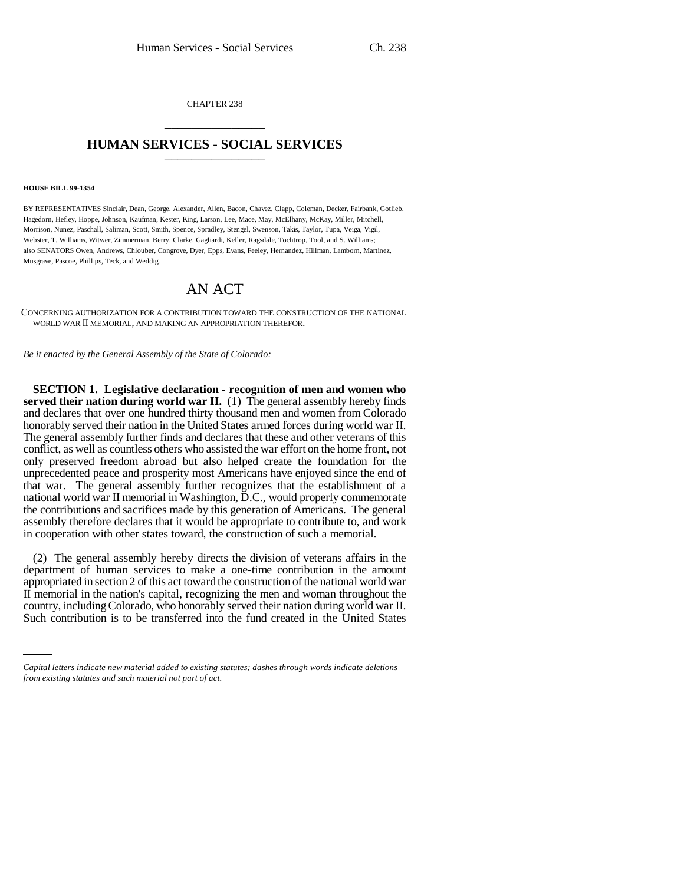CHAPTER 238 \_\_\_\_\_\_\_\_\_\_\_\_\_\_\_

## **HUMAN SERVICES - SOCIAL SERVICES** \_\_\_\_\_\_\_\_\_\_\_\_\_\_\_

## **HOUSE BILL 99-1354**

BY REPRESENTATIVES Sinclair, Dean, George, Alexander, Allen, Bacon, Chavez, Clapp, Coleman, Decker, Fairbank, Gotlieb, Hagedorn, Hefley, Hoppe, Johnson, Kaufman, Kester, King, Larson, Lee, Mace, May, McElhany, McKay, Miller, Mitchell, Morrison, Nunez, Paschall, Saliman, Scott, Smith, Spence, Spradley, Stengel, Swenson, Takis, Taylor, Tupa, Veiga, Vigil, Webster, T. Williams, Witwer, Zimmerman, Berry, Clarke, Gagliardi, Keller, Ragsdale, Tochtrop, Tool, and S. Williams; also SENATORS Owen, Andrews, Chlouber, Congrove, Dyer, Epps, Evans, Feeley, Hernandez, Hillman, Lamborn, Martinez, Musgrave, Pascoe, Phillips, Teck, and Weddig.

## AN ACT

CONCERNING AUTHORIZATION FOR A CONTRIBUTION TOWARD THE CONSTRUCTION OF THE NATIONAL WORLD WAR II MEMORIAL, AND MAKING AN APPROPRIATION THEREFOR.

*Be it enacted by the General Assembly of the State of Colorado:*

**SECTION 1. Legislative declaration - recognition of men and women who served their nation during world war II.** (1) The general assembly hereby finds and declares that over one hundred thirty thousand men and women from Colorado honorably served their nation in the United States armed forces during world war II. The general assembly further finds and declares that these and other veterans of this conflict, as well as countless others who assisted the war effort on the home front, not only preserved freedom abroad but also helped create the foundation for the unprecedented peace and prosperity most Americans have enjoyed since the end of that war. The general assembly further recognizes that the establishment of a national world war II memorial in Washington, D.C., would properly commemorate the contributions and sacrifices made by this generation of Americans. The general assembly therefore declares that it would be appropriate to contribute to, and work in cooperation with other states toward, the construction of such a memorial.

II memorial in the nation's capital, recognizing the men and woman throughout the (2) The general assembly hereby directs the division of veterans affairs in the department of human services to make a one-time contribution in the amount appropriated in section 2 of this act toward the construction of the national world war country, including Colorado, who honorably served their nation during world war II. Such contribution is to be transferred into the fund created in the United States

*Capital letters indicate new material added to existing statutes; dashes through words indicate deletions from existing statutes and such material not part of act.*